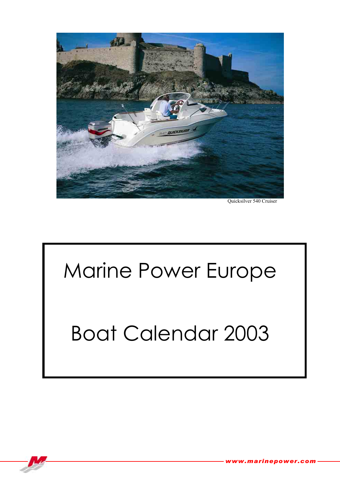

Quicksilver 540 Cruiser

# Marine Power Europe

#### Boat Calendar 2003

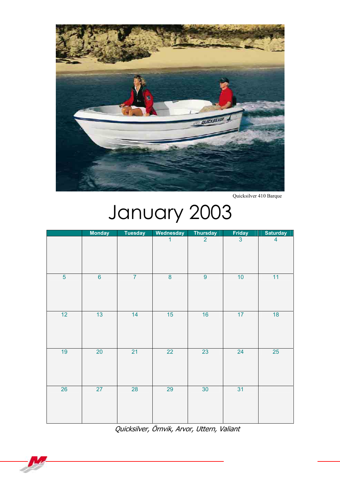

Quicksilver 410 Barque

# January 2003

|                | <b>Monday</b>    | <b>Tuesday</b> | Wednesday      | Thursday        | $rac{\text{Friday}}{3}$ | <b>Saturday</b> |
|----------------|------------------|----------------|----------------|-----------------|-------------------------|-----------------|
|                |                  |                | 1              | $\overline{2}$  |                         | $\overline{4}$  |
| $\overline{5}$ | $6 \overline{6}$ | $\overline{7}$ | $\overline{8}$ | $\overline{9}$  | 10                      | 11              |
| 12             | 13               | 14             | 15             | 16              | 17                      | 18              |
| 19             | 20               | 21             | 22             | 23              | 24                      | 25              |
| 26             | 27               | 28             | 29             | 30 <sup>°</sup> | 31                      |                 |

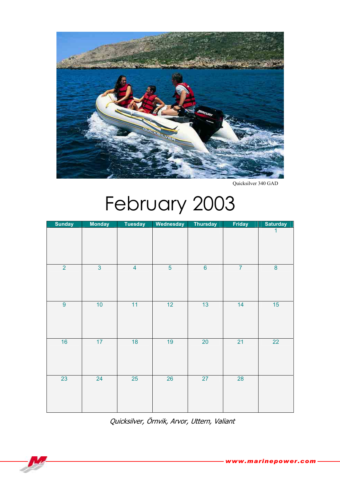

Quicksilver 340 GAD

## February 2003

| <b>Sunday</b>  | <b>Monday</b>  | <b>Tuesday</b> | Wednesday       | Thursday        | <b>Friday</b>  | <b>Saturday</b> |
|----------------|----------------|----------------|-----------------|-----------------|----------------|-----------------|
|                |                |                |                 |                 |                | 1               |
| $\overline{2}$ | $\overline{3}$ | $\overline{4}$ | $\overline{5}$  | $6\overline{6}$ | $\overline{7}$ | $\bf 8$         |
| $\overline{9}$ | 10             | 11             | 12 <sup>2</sup> | 13              | 14             | 15              |
| 16             | 17             | 18             | 19              | 20              | 21             | 22              |
| 23             | 24             | 25             | 26              | 27              | 28             |                 |

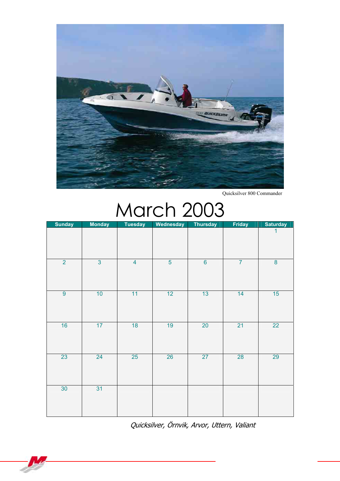

Quicksilver 800 Commander

#### March 2003

| <b>Sunday</b>    | <b>Monday</b>  | <b>Tuesday</b>          | Wednesday      | Thursday         | <b>Friday</b>  | <b>Saturday</b> |
|------------------|----------------|-------------------------|----------------|------------------|----------------|-----------------|
|                  |                |                         |                |                  |                | 1               |
| $\overline{2}$   | $\overline{3}$ | $\overline{\mathbf{4}}$ | $\overline{5}$ | $6 \overline{6}$ | $\overline{7}$ | $\bf 8$         |
| $\boldsymbol{9}$ | 10             | 11                      | 12             | 13               | 14             | 15              |
| 16               | 17             | 18                      | 19             | 20               | 21             | 22              |
| 23               | 24             | $25\overline{)}$        | 26             | 27               | 28             | 29              |
| 30               | 31             |                         |                |                  |                |                 |

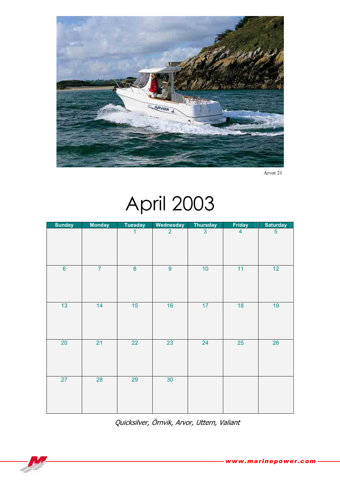

Arvor 21

#### April 2003

| <b>Sunday</b>   | <b>Monday</b>  | <b>Tuesday</b> | Wednesday      | Thursday       | <b>Friday</b>  | <b>Saturday</b> |
|-----------------|----------------|----------------|----------------|----------------|----------------|-----------------|
|                 |                | 1              | $\overline{2}$ | 3 <sup>1</sup> | $\overline{4}$ | $\overline{5}$  |
| $6\overline{6}$ | $\overline{7}$ | $\overline{8}$ | $\overline{9}$ | 10             | 11             | 12              |
| 13              | 14             | 15             | 16             | 17             | 18             | 19              |
| $20\,$          | 21             | 22             | 23             | 24             | 25             | 26              |
| 27              | 28             | 29             | 30             |                |                |                 |

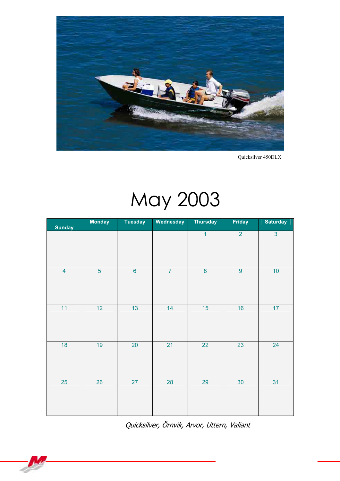

Quicksilver 450DLX

# May 2003

| <b>Sunday</b>  | <b>Monday</b>  | <b>Tuesday</b> | Wednesday      | <b>Thursday</b> | <b>Friday</b>  | <b>Saturday</b> |
|----------------|----------------|----------------|----------------|-----------------|----------------|-----------------|
|                |                |                |                | $\overline{1}$  | $\overline{2}$ | $\overline{3}$  |
| $\overline{4}$ | $\overline{5}$ | $\overline{6}$ | $\overline{7}$ | $\bf 8$         | $\overline{9}$ | 10              |
| 11             | 12             | 13             | 14             | 15              | 16             | 17              |
| 18             | 19             | 20             | 21             | 22              | 23             | 24              |
| 25             | 26             | 27             | 28             | 29              | 30             | 31              |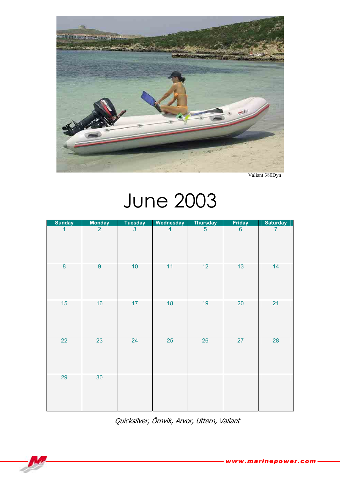

Valiant 380Dyn

## June 2003

| <b>Sunday</b> | <b>Monday</b>   | <b>Tuesday</b> | Wednesday               | <b>Thursday</b> | <b>Friday</b> | <b>Saturday</b> |
|---------------|-----------------|----------------|-------------------------|-----------------|---------------|-----------------|
| 1             | $\overline{2}$  | $\overline{3}$ | $\overline{\mathbf{4}}$ | $\overline{5}$  | $\bf 6$       | 7               |
| $\bf 8$       | $\overline{9}$  | 10             | 11                      | 12              | 13            | 14              |
| 15            | 16              | 17             | 18                      | 19              | 20            | 21              |
| 22            | 23              | 24             | 25                      | 26              | 27            | 28              |
| 29            | 30 <sup>°</sup> |                |                         |                 |               |                 |

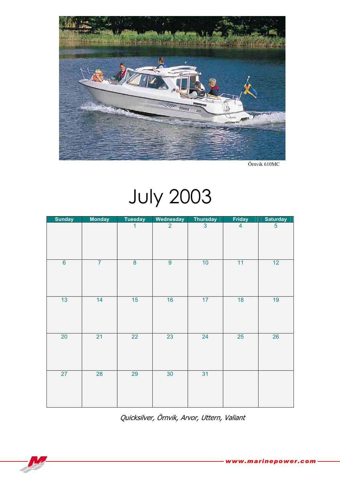

Örnvik 610MC

#### July 2003

| <b>Sunday</b>  | <b>Monday</b>  | <b>Tuesday</b> | Wednesday       | <b>Thursday</b> | <b>Friday</b>  | <b>Saturday</b> |
|----------------|----------------|----------------|-----------------|-----------------|----------------|-----------------|
|                |                | 1              | $\overline{2}$  | $\mathbf{3}$    | $\overline{4}$ | $\overline{5}$  |
| $\overline{6}$ | $\overline{7}$ | $\bf{8}$       | $\overline{9}$  | 10              | 11             | 12 <sub>2</sub> |
| 13             | 14             | 15             | 16              | 17              | 18             | 19              |
| $20\,$         | 21             | 22             | 23              | 24              | 25             | 26              |
| 27             | 28             | 29             | 30 <sup>°</sup> | 31              |                |                 |

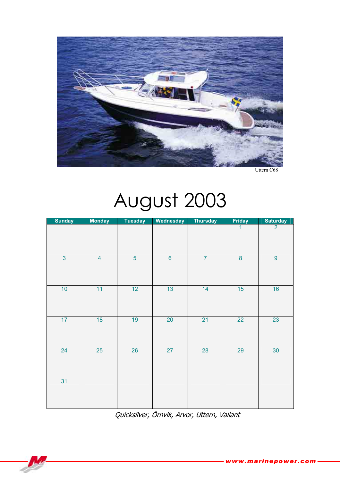

Uttern C68

## August 2003

| <b>Sunday</b>  | <b>Monday</b>  | <b>Tuesday</b> | <b>Wednesday</b> | Thursday       | <b>Friday</b> | <b>Saturday</b> |
|----------------|----------------|----------------|------------------|----------------|---------------|-----------------|
|                |                |                |                  |                | $\mathbf{1}$  | $\overline{2}$  |
| $\overline{3}$ | $\overline{4}$ | $\overline{5}$ | $\overline{6}$   | $\overline{7}$ | $\bf 8$       | $\overline{9}$  |
| 10             | 11             | 12             | 13               | 14             | 15            | 16              |
| 17             | 18             | 19             | $20\,$           | 21             | 22            | 23              |
| 24             | 25             | 26             | 27               | 28             | 29            | 30 <sup>°</sup> |
| 31             |                |                |                  |                |               |                 |

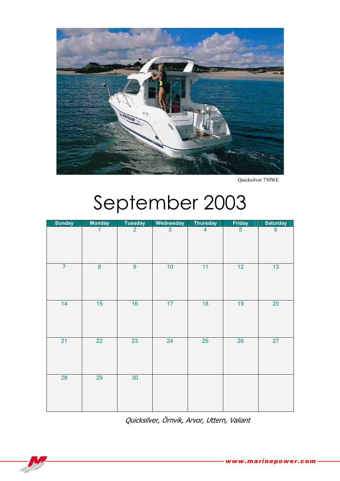

Quicksilver 750WE

## September 2003

| <b>Sunday</b>  | <b>Monday</b>           | <b>Tuesday</b> | Wednesday      | <b>Thursday</b>         | Friday         | <b>Saturday</b> |
|----------------|-------------------------|----------------|----------------|-------------------------|----------------|-----------------|
|                | 1                       | $\overline{2}$ | $\overline{3}$ | $\overline{\mathbf{4}}$ | $\overline{5}$ | 6               |
| $\overline{7}$ | $\overline{\mathbf{8}}$ | $\overline{9}$ | 10             | 11                      | 12             | 13              |
| 14             | 15                      | 16             | 17             | 18                      | 19             | $20\,$          |
| 21             | 22                      | 23             | 24             | 25                      | 26             | 27              |
| 28             | 29                      | 30             |                |                         |                |                 |

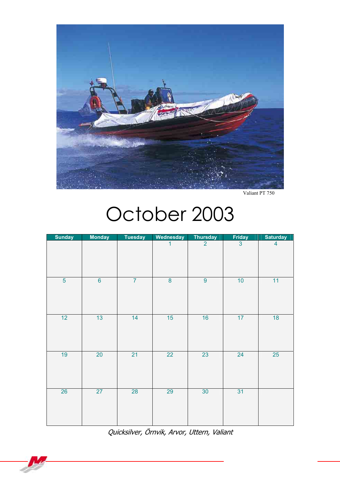

Valiant PT 750

#### October 2003

| <b>Sunday</b>  | <b>Monday</b>  | <b>Tuesday</b> | Wednesday       | <b>Thursday</b> | <b>Friday</b>  | <b>Saturday</b> |
|----------------|----------------|----------------|-----------------|-----------------|----------------|-----------------|
|                |                |                | 1               | $\overline{2}$  | $\overline{3}$ | $\overline{4}$  |
| $\overline{5}$ | $\overline{6}$ | $\overline{7}$ | $\overline{8}$  | $\overline{9}$  | 10             | 11              |
| 12             | 13             | 14             | 15              | 16              | 17             | 18              |
| 19             | 20             | 21             | $\overline{22}$ | 23              | 24             | 25              |
| 26             | 27             | 28             | 29              | 30              | 31             |                 |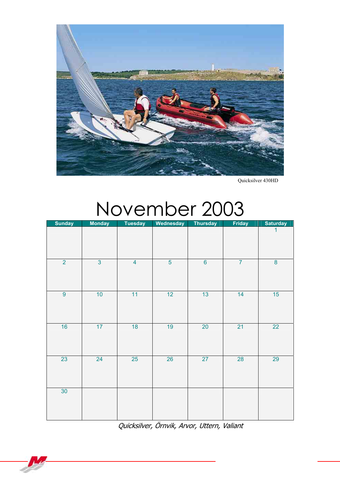

Quicksilver 430HD

#### November 2003

| <b>Sunday</b>  | <b>Monday</b>  | <b>Tuesday</b> | Wednesday      | <b>Thursday</b> | <b>Friday</b>  | <b>Saturday</b> |
|----------------|----------------|----------------|----------------|-----------------|----------------|-----------------|
|                |                |                |                |                 |                | 1               |
| $\overline{2}$ | $\overline{3}$ | $\overline{4}$ | $\overline{5}$ | $6\overline{6}$ | $\overline{7}$ | $\overline{8}$  |
| $\overline{9}$ | 10             | 11             | 12             | 13              | 14             | 15              |
| 16             | 17             | 18             | 19             | 20              | 21             | 22              |
| 23             | 24             | 25             | 26             | 27              | 28             | 29              |
| 30             |                |                |                |                 |                |                 |